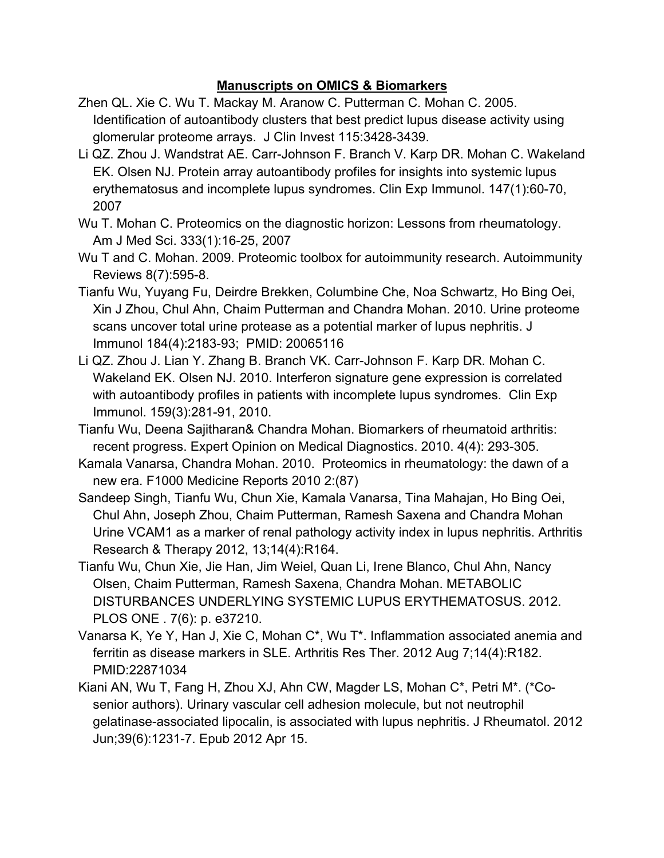## **Manuscripts on OMICS & Biomarkers**

- Zhen QL. Xie C. Wu T. Mackay M. Aranow C. Putterman C. Mohan C. 2005. Identification of autoantibody clusters that best predict lupus disease activity using glomerular proteome arrays. J Clin Invest 115:3428-3439.
- Li QZ. Zhou J. Wandstrat AE. Carr-Johnson F. Branch V. Karp DR. Mohan C. Wakeland EK. Olsen NJ. Protein array autoantibody profiles for insights into systemic lupus erythematosus and incomplete lupus syndromes. Clin Exp Immunol. 147(1):60-70, 2007
- Wu T. Mohan C. Proteomics on the diagnostic horizon: Lessons from rheumatology. Am J Med Sci. 333(1):16-25, 2007
- Wu T and C. Mohan. 2009. Proteomic toolbox for autoimmunity research. Autoimmunity Reviews 8(7):595-8.
- Tianfu Wu, Yuyang Fu, Deirdre Brekken, Columbine Che, Noa Schwartz, Ho Bing Oei, Xin J Zhou, Chul Ahn, Chaim Putterman and Chandra Mohan. 2010. Urine proteome scans uncover total urine protease as a potential marker of lupus nephritis. J Immunol 184(4):2183-93; PMID: 20065116
- Li QZ. Zhou J. Lian Y. Zhang B. Branch VK. Carr-Johnson F. Karp DR. Mohan C. Wakeland EK. Olsen NJ. 2010. Interferon signature gene expression is correlated with autoantibody profiles in patients with incomplete lupus syndromes. Clin Exp Immunol. 159(3):281-91, 2010.
- Tianfu Wu, Deena Sajitharan& Chandra Mohan. Biomarkers of rheumatoid arthritis: recent progress. Expert Opinion on Medical Diagnostics. 2010. 4(4): 293-305.
- Kamala Vanarsa, Chandra Mohan. 2010. Proteomics in rheumatology: the dawn of a new era. F1000 Medicine Reports 2010 2:(87)
- Sandeep Singh, Tianfu Wu, Chun Xie, Kamala Vanarsa, Tina Mahajan, Ho Bing Oei, Chul Ahn, Joseph Zhou, Chaim Putterman, Ramesh Saxena and Chandra Mohan Urine VCAM1 as a marker of renal pathology activity index in lupus nephritis. Arthritis Research & Therapy 2012, 13;14(4):R164.
- Tianfu Wu, Chun Xie, Jie Han, Jim Weiel, Quan Li, Irene Blanco, Chul Ahn, Nancy Olsen, Chaim Putterman, Ramesh Saxena, Chandra Mohan. METABOLIC DISTURBANCES UNDERLYING SYSTEMIC LUPUS ERYTHEMATOSUS. 2012. PLOS ONE . 7(6): p. e37210.
- Vanarsa K, Ye Y, Han J, Xie C, Mohan C\*, Wu T\*. Inflammation associated anemia and ferritin as disease markers in SLE. Arthritis Res Ther. 2012 Aug 7;14(4):R182. PMID:22871034
- Kiani AN, Wu T, Fang H, Zhou XJ, Ahn CW, Magder LS, Mohan C\*, Petri M\*. (\*Cosenior authors). Urinary vascular cell adhesion molecule, but not neutrophil gelatinase-associated lipocalin, is associated with lupus nephritis. J Rheumatol. 2012 Jun;39(6):1231-7. Epub 2012 Apr 15.